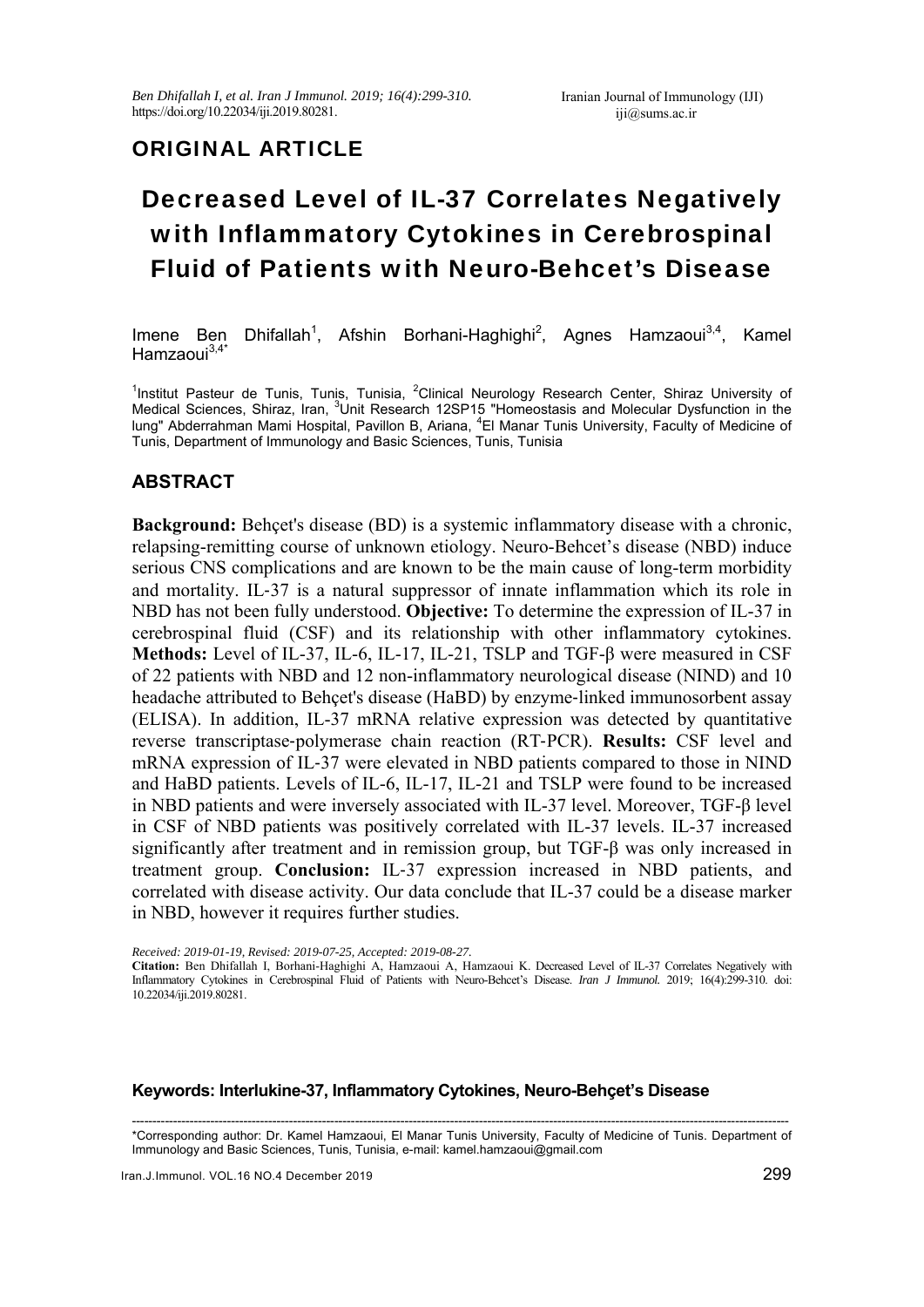# ORIGINAL ARTICLE

# Decreased Level of IL-37 Correlates Negatively with Inflammatory Cytokines in Cerebrospinal Fluid of Patients with Neuro-Behcet's Disease

Imene Ben , Afshin Borhani-Haghighi<sup>2</sup>, Agnes Hamzaoui<sup>3,4</sup>, Kamel Hamzaoui<sup>3,4\*</sup>

<sup>1</sup>Institut Pasteur de Tunis, Tunis, Tunisia, <sup>2</sup>Clinical Neurology Research Center, Shiraz University of Medical Sciences, Shiraz, Iran, <sup>3</sup>Unit Research 12SP15 "Homeostasis and Molecular Dysfunction in the lung" Abderrahman Mami Hospital, Pavillon B, Ariana, <sup>4</sup>El Manar Tunis University, Faculty of Medicine of Tunis, Department of Immunology and Basic Sciences, Tunis, Tunisia

## **ABSTRACT**

**Background:** Behçet's disease (BD) is a systemic inflammatory disease with a chronic, relapsing-remitting course of unknown etiology. Neuro-Behcet's disease (NBD) induce serious CNS complications and are known to be the main cause of long-term morbidity and mortality. IL‐37 is a natural suppressor of innate inflammation which its role in NBD has not been fully understood. **Objective:** To determine the expression of IL-37 in cerebrospinal fluid (CSF) and its relationship with other inflammatory cytokines. **Methods:** Level of IL-37, IL-6, IL-17, IL-21, TSLP and TGF-β were measured in CSF of 22 patients with NBD and 12 non-inflammatory neurological disease (NIND) and 10 headache attributed to Behçet's disease (HaBD) by enzyme‐linked immunosorbent assay (ELISA). In addition, IL-37 mRNA relative expression was detected by quantitative reverse transcriptase‐polymerase chain reaction (RT‐PCR). **Results:** CSF level and mRNA expression of IL‐37 were elevated in NBD patients compared to those in NIND and HaBD patients. Levels of IL-6, IL-17, IL-21 and TSLP were found to be increased in NBD patients and were inversely associated with IL-37 level. Moreover, TGF-β level in CSF of NBD patients was positively correlated with IL-37 levels. IL-37 increased significantly after treatment and in remission group, but TGF-β was only increased in treatment group. **Conclusion:** IL‐37 expression increased in NBD patients, and correlated with disease activity. Our data conclude that IL-37 could be a disease marker in NBD, however it requires further studies.

*Received: 2019-01-19, Revised: 2019-07-25, Accepted: 2019-08-27.* 

**Citation:** Ben Dhifallah I, Borhani-Haghighi A, Hamzaoui A, Hamzaoui K. Decreased Level of IL-37 Correlates Negatively with Inflammatory Cytokines in Cerebrospinal Fluid of Patients with Neuro-Behcet's Disease. *Iran J Immunol.* 2019; 16(4):299-310. doi: 10.22034/iji.2019.80281.

#### **Keywords: Interlukine-37, Inflammatory Cytokines, Neuro-Behçet's Disease**

--------------------------------------------------------------------------------------------------------------------------------------------------------------- \*Corresponding author: Dr. Kamel Hamzaoui, El Manar Tunis University, Faculty of Medicine of Tunis. Department of Immunology and Basic Sciences, Tunis, Tunisia, e-mail: kamel.hamzaoui@gmail.com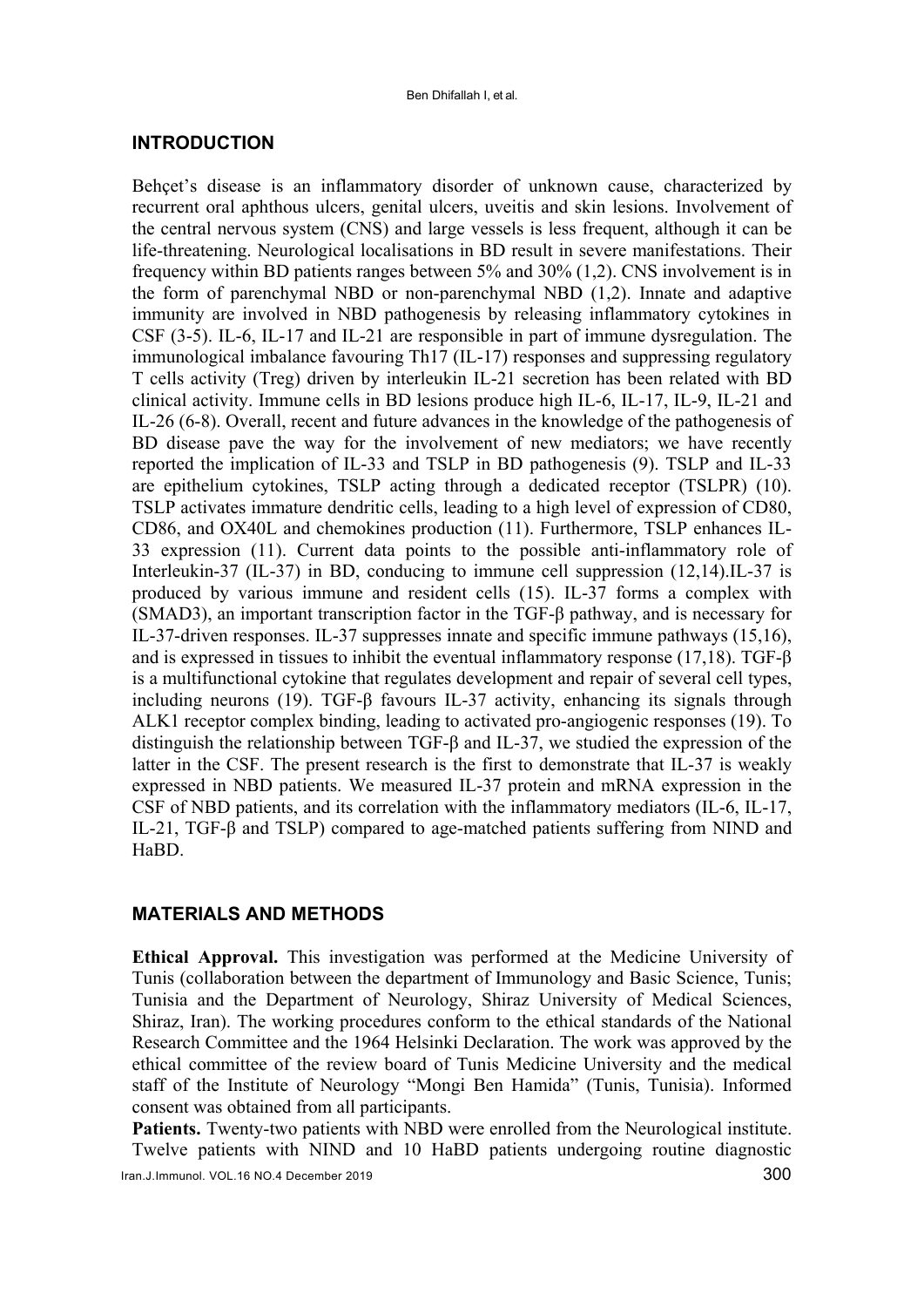#### **INTRODUCTION**

Behçet's disease is an inflammatory disorder of unknown cause, characterized by recurrent oral aphthous ulcers, genital ulcers, uveitis and skin lesions. Involvement of the central nervous system (CNS) and large vessels is less frequent, although it can be life-threatening. Neurological localisations in BD result in severe manifestations. Their frequency within BD patients ranges between 5% and 30% (1,2). CNS involvement is in the form of parenchymal NBD or non-parenchymal NBD (1,2). Innate and adaptive immunity are involved in NBD pathogenesis by releasing inflammatory cytokines in CSF (3-5). IL-6, IL-17 and IL-21 are responsible in part of immune dysregulation. The immunological imbalance favouring Th17 (IL-17) responses and suppressing regulatory T cells activity (Treg) driven by interleukin IL-21 secretion has been related with BD clinical activity. Immune cells in BD lesions produce high IL-6, IL-17, IL-9, IL-21 and IL-26 (6-8). Overall, recent and future advances in the knowledge of the pathogenesis of BD disease pave the way for the involvement of new mediators; we have recently reported the implication of IL-33 and TSLP in BD pathogenesis (9). TSLP and IL-33 are epithelium cytokines, TSLP acting through a dedicated receptor (TSLPR) (10). TSLP activates immature dendritic cells, leading to a high level of expression of CD80, CD86, and OX40L and chemokines production (11). Furthermore, TSLP enhances IL-33 expression (11). Current data points to the possible anti-inflammatory role of Interleukin-37 (IL-37) in BD, conducing to immune cell suppression (12,14).IL-37 is produced by various immune and resident cells (15). IL-37 forms a complex with (SMAD3), an important transcription factor in the TGF-β pathway, and is necessary for IL-37-driven responses. IL-37 suppresses innate and specific immune pathways (15,16), and is expressed in tissues to inhibit the eventual inflammatory response (17,18). TGF-β is a multifunctional cytokine that regulates development and repair of several cell types, including neurons (19). TGF-β favours IL-37 activity, enhancing its signals through ALK1 receptor complex binding, leading to activated pro-angiogenic responses (19). To distinguish the relationship between TGF-β and IL-37, we studied the expression of the latter in the CSF. The present research is the first to demonstrate that IL-37 is weakly expressed in NBD patients. We measured IL-37 protein and mRNA expression in the CSF of NBD patients, and its correlation with the inflammatory mediators (IL-6, IL-17, IL-21, TGF-β and TSLP) compared to age-matched patients suffering from NIND and HaBD.

#### **MATERIALS AND METHODS**

**Ethical Approval.** This investigation was performed at the Medicine University of Tunis (collaboration between the department of Immunology and Basic Science, Tunis; Tunisia and the Department of Neurology, Shiraz University of Medical Sciences, Shiraz, Iran). The working procedures conform to the ethical standards of the National Research Committee and the 1964 Helsinki Declaration. The work was approved by the ethical committee of the review board of Tunis Medicine University and the medical staff of the Institute of Neurology "Mongi Ben Hamida" (Tunis, Tunisia). Informed consent was obtained from all participants.

**Patients.** Twenty-two patients with NBD were enrolled from the Neurological institute. Twelve patients with NIND and 10 HaBD patients undergoing routine diagnostic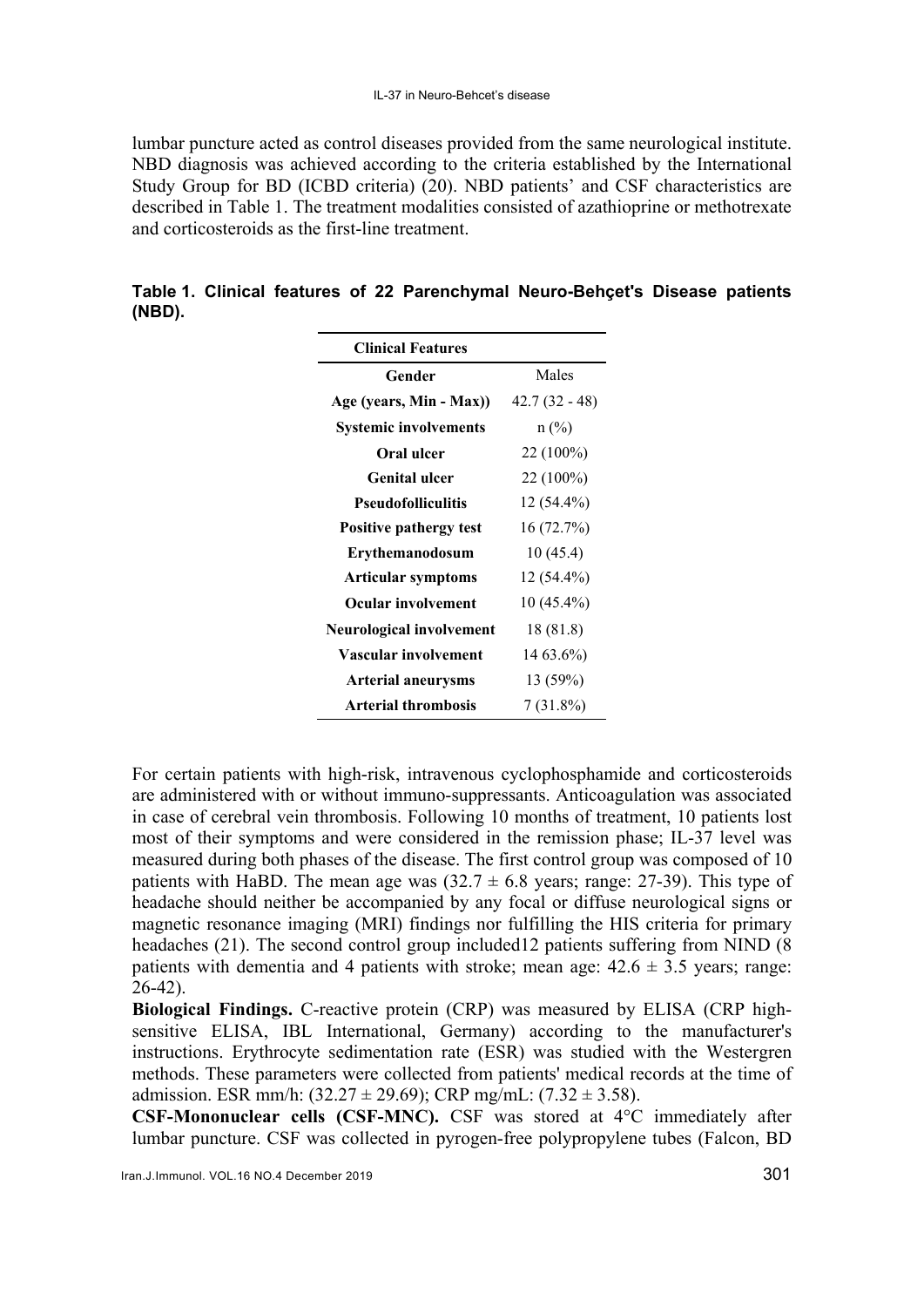lumbar puncture acted as control diseases provided from the same neurological institute. NBD diagnosis was achieved according to the criteria established by the International Study Group for BD (ICBD criteria) (20). NBD patients' and CSF characteristics are described in Table 1. The treatment modalities consisted of azathioprine or methotrexate and corticosteroids as the first-line treatment.

| (NBD). |  |                          |  | Table 1. Clinical features of 22 Parenchymal Neuro-Behçet's Disease patients |  |  |
|--------|--|--------------------------|--|------------------------------------------------------------------------------|--|--|
|        |  | <b>Clinical Features</b> |  |                                                                              |  |  |

| <b>Clinical Features</b>        |                 |  |  |
|---------------------------------|-----------------|--|--|
| Gender                          | Males           |  |  |
| Age (years, Min - Max))         | $42.7(32 - 48)$ |  |  |
| <b>Systemic involvements</b>    | $n$ (%)         |  |  |
| Oral ulcer                      | 22 (100%)       |  |  |
| <b>Genital ulcer</b>            | 22 (100%)       |  |  |
| <b>Pseudofolliculitis</b>       | 12 (54.4%)      |  |  |
| <b>Positive pathergy test</b>   | 16(72.7%)       |  |  |
| <b>Erythemanodosum</b>          | 10 (45.4)       |  |  |
| Articular symptoms              | 12 (54.4%)      |  |  |
| Ocular involvement              | 10 (45.4%)      |  |  |
| <b>Neurological involvement</b> | 18 (81.8)       |  |  |
| Vascular involvement            | 14 63.6%)       |  |  |
| <b>Arterial aneurysms</b>       | 13(59%)         |  |  |
| <b>Arterial thrombosis</b>      | 7 (31.8%)       |  |  |

For certain patients with high-risk, intravenous cyclophosphamide and corticosteroids are administered with or without immuno-suppressants. Anticoagulation was associated in case of cerebral vein thrombosis. Following 10 months of treatment, 10 patients lost most of their symptoms and were considered in the remission phase; IL-37 level was measured during both phases of the disease. The first control group was composed of 10 patients with HaBD. The mean age was  $(32.7 \pm 6.8 \text{ years})$ ; range: 27-39). This type of headache should neither be accompanied by any focal or diffuse neurological signs or magnetic resonance imaging (MRI) findings nor fulfilling the HIS criteria for primary headaches (21). The second control group included12 patients suffering from NIND (8 patients with dementia and 4 patients with stroke; mean age:  $42.6 \pm 3.5$  years; range: 26-42).

**Biological Findings.** C-reactive protein (CRP) was measured by ELISA (CRP highsensitive ELISA, IBL International, Germany) according to the manufacturer's instructions. Erythrocyte sedimentation rate (ESR) was studied with the Westergren methods. These parameters were collected from patients' medical records at the time of admission. ESR mm/h:  $(32.27 \pm 29.69)$ ; CRP mg/mL:  $(7.32 \pm 3.58)$ .

**CSF-Mononuclear cells (CSF-MNC).** CSF was stored at 4°C immediately after lumbar puncture. CSF was collected in pyrogen-free polypropylene tubes (Falcon, BD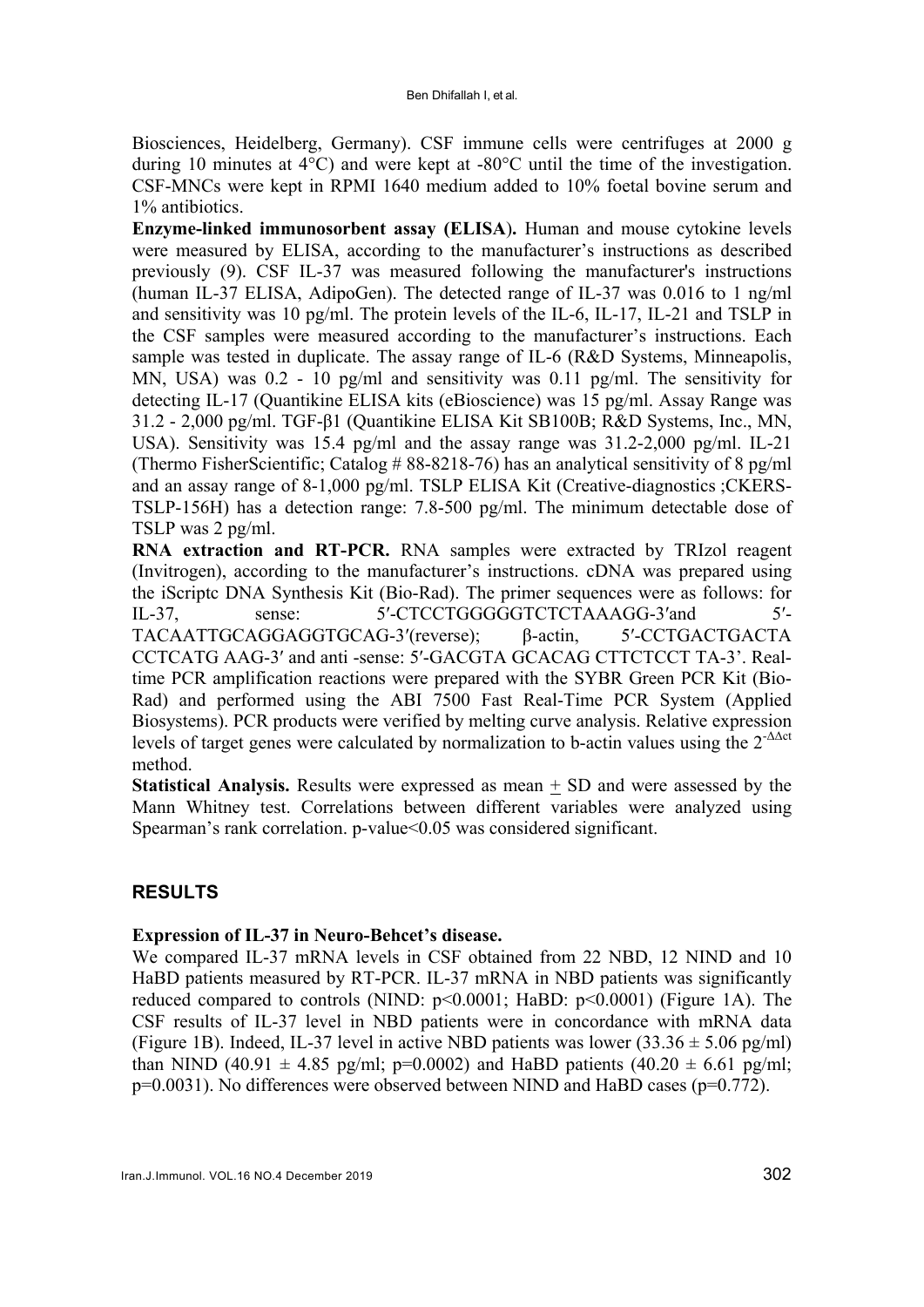Biosciences, Heidelberg, Germany). CSF immune cells were centrifuges at 2000 g during 10 minutes at 4°C) and were kept at -80°C until the time of the investigation. CSF-MNCs were kept in RPMI 1640 medium added to 10% foetal bovine serum and 1% antibiotics.

**Enzyme-linked immunosorbent assay (ELISA**)**.** Human and mouse cytokine levels were measured by ELISA, according to the manufacturer's instructions as described previously (9). CSF IL-37 was measured following the manufacturer's instructions (human IL-37 ELISA, AdipoGen). The detected range of IL-37 was 0.016 to 1 ng/ml and sensitivity was 10 pg/ml. The protein levels of the IL-6, IL-17, IL-21 and TSLP in the CSF samples were measured according to the manufacturer's instructions. Each sample was tested in duplicate. The assay range of IL-6 (R&D Systems, Minneapolis, MN, USA) was 0.2 - 10 pg/ml and sensitivity was 0.11 pg/ml. The sensitivity for detecting IL-17 (Quantikine ELISA kits (eBioscience) was 15 pg/ml. Assay Range was 31.2 - 2,000 pg/ml. TGF-β1 (Quantikine ELISA Kit SB100B; R&D Systems, Inc., MN, USA). Sensitivity was 15.4 pg/ml and the assay range was 31.2-2,000 pg/ml. IL-21 (Thermo FisherScientific; Catalog  $\#$  88-8218-76) has an analytical sensitivity of 8 pg/ml and an assay range of 8-1,000 pg/ml. TSLP ELISA Kit (Creative-diagnostics ;CKERS-TSLP-156H) has a detection range: 7.8-500 pg/ml. The minimum detectable dose of TSLP was 2 pg/ml.

**RNA extraction and RT-PCR.** RNA samples were extracted by TRIzol reagent (Invitrogen), according to the manufacturer's instructions. cDNA was prepared using the iScriptc DNA Synthesis Kit (Bio-Rad). The primer sequences were as follows: for IL-37, sense: 5′-CTCCTGGGGGTCTCTAAAGG-3′and 5′- TACAATTGCAGGAGGTGCAG-3′(reverse); β-actin, 5′-CCTGACTGACTA CCTCATG AAG-3′ and anti -sense: 5′-GACGTA GCACAG CTTCTCCT TA-3'. Realtime PCR amplification reactions were prepared with the SYBR Green PCR Kit (Bio-Rad) and performed using the ABI 7500 Fast Real-Time PCR System (Applied Biosystems). PCR products were verified by melting curve analysis. Relative expression levels of target genes were calculated by normalization to b-actin values using the  $2^{-\Delta\Delta ct}$ method.

**Statistical Analysis.** Results were expressed as mean + SD and were assessed by the Mann Whitney test. Correlations between different variables were analyzed using Spearman's rank correlation. p-value<0.05 was considered significant.

## **RESULTS**

## **Expression of IL-37 in Neuro-Behcet's disease.**

We compared IL-37 mRNA levels in CSF obtained from 22 NBD, 12 NIND and 10 HaBD patients measured by RT-PCR. IL-37 mRNA in NBD patients was significantly reduced compared to controls (NIND: p<0.0001; HaBD: p<0.0001) (Figure 1A). The CSF results of IL-37 level in NBD patients were in concordance with mRNA data (Figure 1B). Indeed, IL-37 level in active NBD patients was lower  $(33.36 \pm 5.06 \text{ pg/ml})$ than NIND (40.91  $\pm$  4.85 pg/ml; p=0.0002) and HaBD patients (40.20  $\pm$  6.61 pg/ml; p=0.0031). No differences were observed between NIND and HaBD cases (p=0.772).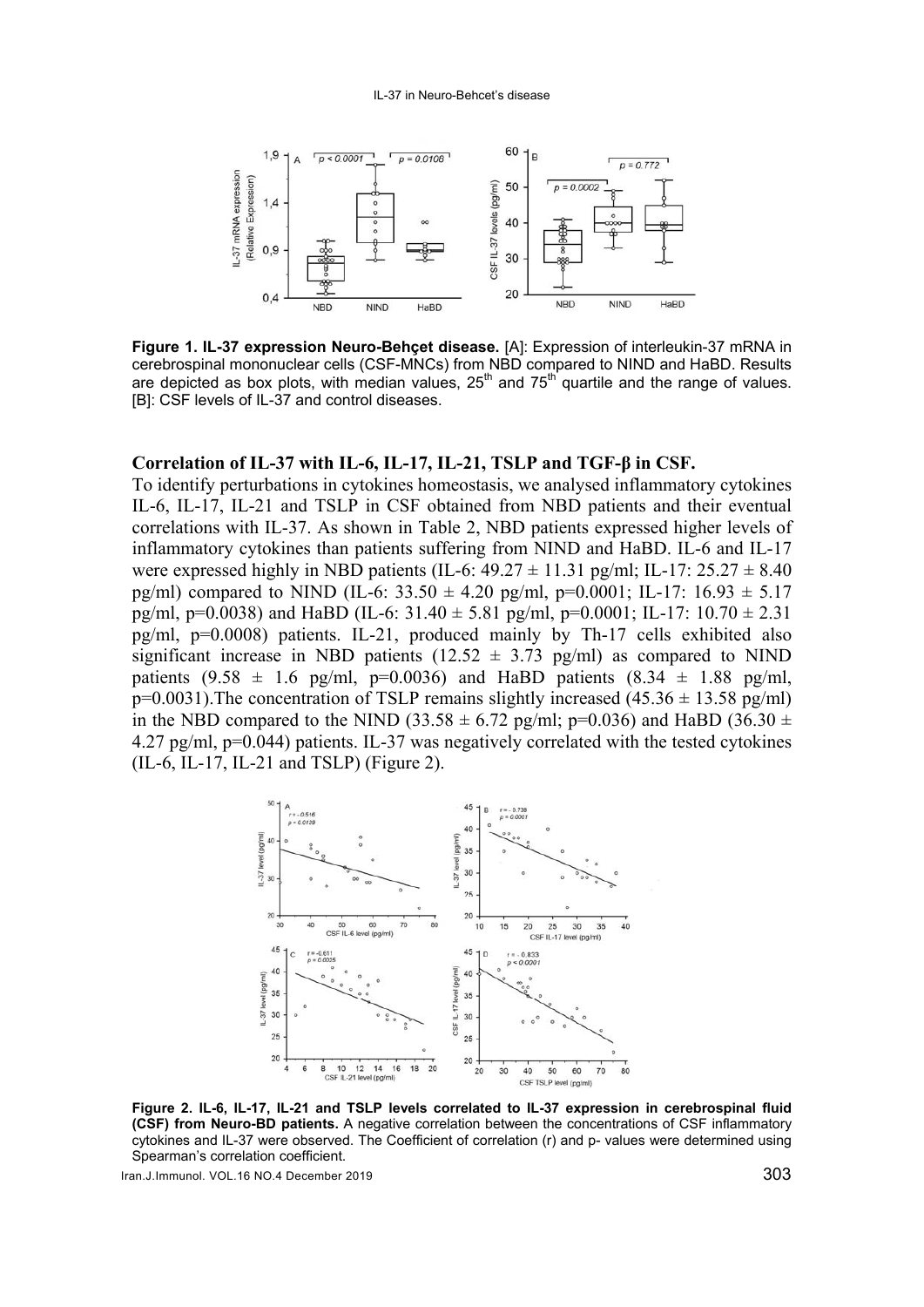

**Figure 1. IL-37 expression Neuro-Behçet disease.** [A]: Expression of interleukin-37 mRNA in cerebrospinal mononuclear cells (CSF-MNCs) from NBD compared to NIND and HaBD. Results are depicted as box plots, with median values,  $25<sup>th</sup>$  and  $75<sup>th</sup>$  quartile and the range of values. [B]: CSF levels of IL-37 and control diseases.

#### **Correlation of IL-37 with IL-6, IL-17, IL-21, TSLP and TGF-β in CSF.**

To identify perturbations in cytokines homeostasis, we analysed inflammatory cytokines IL-6, IL-17, IL-21 and TSLP in CSF obtained from NBD patients and their eventual correlations with IL-37. As shown in Table 2, NBD patients expressed higher levels of inflammatory cytokines than patients suffering from NIND and HaBD. IL-6 and IL-17 were expressed highly in NBD patients (IL-6:  $49.27 \pm 11.31$  pg/ml; IL-17:  $25.27 \pm 8.40$ pg/ml) compared to NIND (IL-6:  $33.50 \pm 4.20$  pg/ml, p=0.0001; IL-17:  $16.93 \pm 5.17$ pg/ml, p=0.0038) and HaBD (IL-6:  $31.40 \pm 5.81$  pg/ml, p=0.0001; IL-17:  $10.70 \pm 2.31$ pg/ml, p=0.0008) patients. IL-21, produced mainly by Th-17 cells exhibited also significant increase in NBD patients ( $12.52 \pm 3.73$  pg/ml) as compared to NIND patients  $(9.58 \pm 1.6 \text{ pg/ml}, \text{p=0.0036})$  and HaBD patients  $(8.34 \pm 1.88 \text{ pg/ml},$  $p=0.0031$ ). The concentration of TSLP remains slightly increased (45.36  $\pm$  13.58 pg/ml) in the NBD compared to the NIND (33.58  $\pm$  6.72 pg/ml; p=0.036) and HaBD (36.30  $\pm$ 4.27 pg/ml, p=0.044) patients. IL-37 was negatively correlated with the tested cytokines (IL-6, IL-17, IL-21 and TSLP) (Figure 2).



**Figure 2. IL-6, IL-17, IL-21 and TSLP levels correlated to IL-37 expression in cerebrospinal fluid (CSF) from Neuro-BD patients.** A negative correlation between the concentrations of CSF inflammatory cytokines and IL-37 were observed. The Coefficient of correlation (r) and p- values were determined using Spearman's correlation coefficient.

Iran.J.Immunol. VOL.16 NO.4 December 2019 303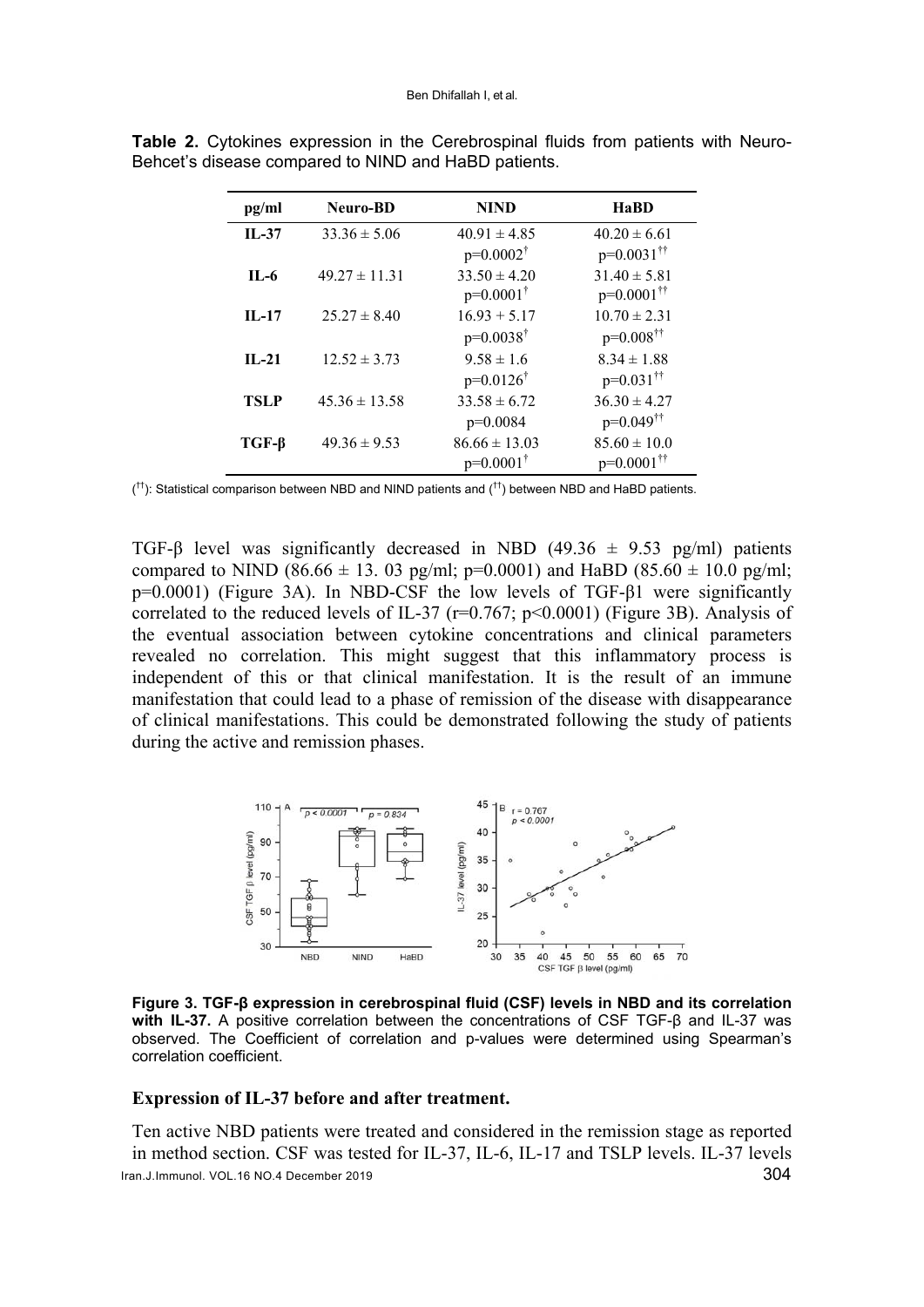| pg/ml       | <b>Neuro-BD</b>   | <b>NIND</b>          | <b>HaBD</b>                |
|-------------|-------------------|----------------------|----------------------------|
| $II - 37$   | $33.36 \pm 5.06$  | $40.91 \pm 4.85$     | $40.20 \pm 6.61$           |
|             |                   | $p=0.0002^{\dagger}$ | $p=0.0031$ <sup>††</sup>   |
| $II - 6$    | $49.27 \pm 11.31$ | $33.50 \pm 4.20$     | $31.40 \pm 5.81$           |
|             |                   | $p=0.0001^{\dagger}$ | $p=0.0001$ <sup>††</sup>   |
| $II - 17$   | $25.27 \pm 8.40$  | $16.93 + 5.17$       | $10.70 \pm 2.31$           |
|             |                   | $p=0.0038^{\dagger}$ | $p=0.008^{\dagger\dagger}$ |
| $II - 21$   | $12.52 \pm 3.73$  | $9.58 \pm 1.6$       | $8.34 \pm 1.88$            |
|             |                   | $p=0.0126^{\dagger}$ | $p=0.031$ <sup>††</sup>    |
| <b>TSLP</b> | $45.36 \pm 13.58$ | $33.58 \pm 6.72$     | $36.30 \pm 4.27$           |
|             |                   | $p=0.0084$           | $p=0.049^{\dagger\dagger}$ |
| $TGF-\beta$ | $49.36 \pm 9.53$  | $86.66 \pm 13.03$    | $85.60 \pm 10.0$           |
|             |                   | $p=0.0001^{\dagger}$ | $p=0.0001$ <sup>††</sup>   |

**Table 2.** Cytokines expression in the Cerebrospinal fluids from patients with Neuro-Behcet's disease compared to NIND and HaBD patients.

 $($ <sup>tt</sup>): Statistical comparison between NBD and NIND patients and  $($ <sup>tt</sup>) between NBD and HaBD patients.

TGF-β level was significantly decreased in NBD (49.36  $\pm$  9.53 pg/ml) patients compared to NIND (86.66  $\pm$  13, 03 pg/ml; p=0.0001) and HaBD (85.60  $\pm$  10.0 pg/ml; p=0.0001) (Figure 3A). In NBD-CSF the low levels of TGF-β1 were significantly correlated to the reduced levels of IL-37 ( $r=0.767$ ;  $p<0.0001$ ) (Figure 3B). Analysis of the eventual association between cytokine concentrations and clinical parameters revealed no correlation. This might suggest that this inflammatory process is independent of this or that clinical manifestation. It is the result of an immune manifestation that could lead to a phase of remission of the disease with disappearance of clinical manifestations. This could be demonstrated following the study of patients during the active and remission phases.



**Figure 3. TGF-β expression in cerebrospinal fluid (CSF) levels in NBD and its correlation with IL-37.** A positive correlation between the concentrations of CSF TGF-β and IL-37 was observed. The Coefficient of correlation and p-values were determined using Spearman's correlation coefficient.

#### **Expression of IL-37 before and after treatment.**

Iran.J.Immunol. VOL.16 NO.4 December 2019 304 Ten active NBD patients were treated and considered in the remission stage as reported in method section. CSF was tested for IL-37, IL-6, IL-17 and TSLP levels. IL-37 levels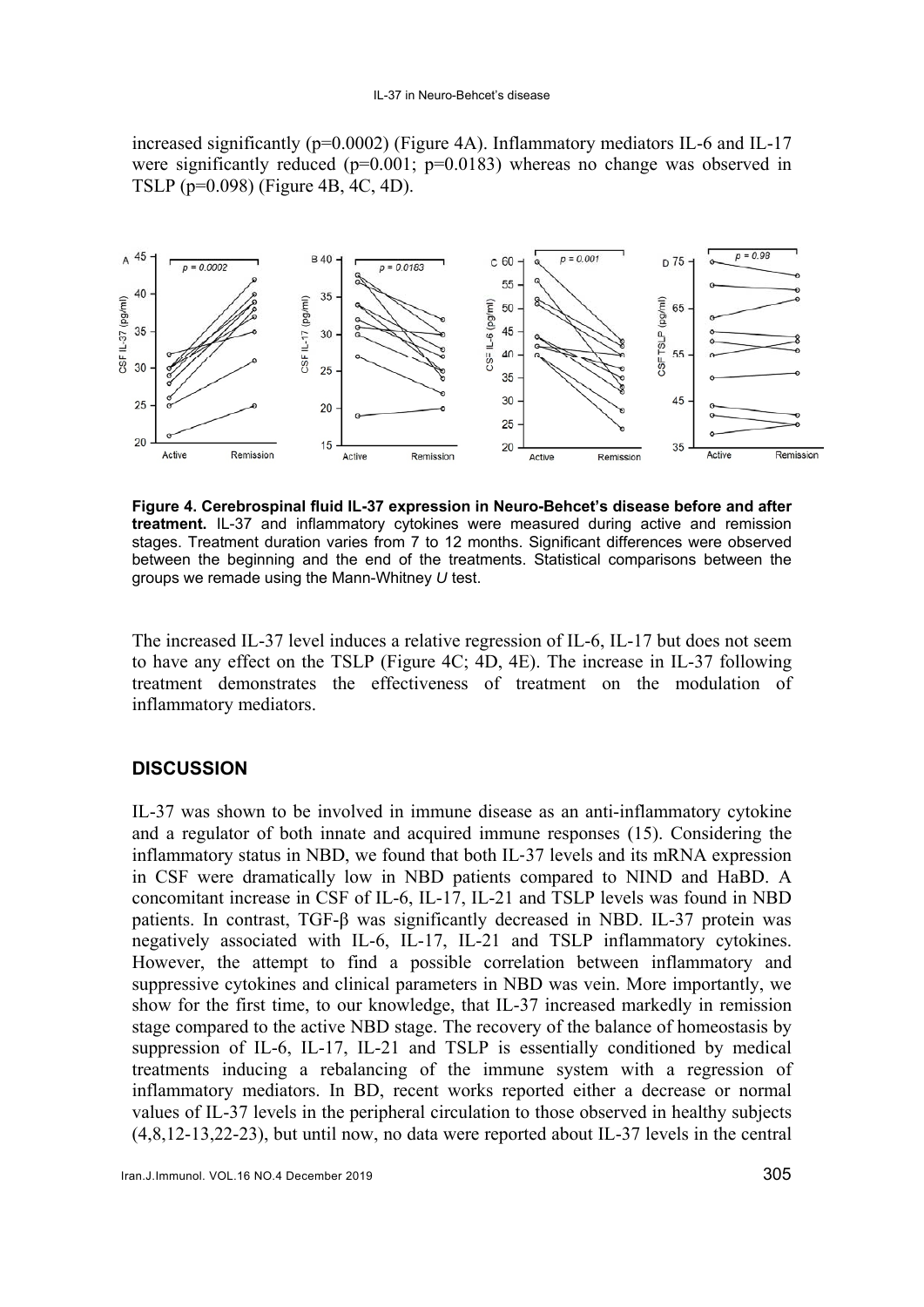#### IL-37 in Neuro-Behcet's disease

increased significantly (p=0.0002) (Figure 4A). Inflammatory mediators IL-6 and IL-17 were significantly reduced ( $p=0.001$ ;  $p=0.0183$ ) whereas no change was observed in TSLP (p=0.098) (Figure 4B, 4C, 4D).



**Figure 4. Cerebrospinal fluid IL-37 expression in Neuro-Behcet's disease before and after treatment.** IL-37 and inflammatory cytokines were measured during active and remission stages. Treatment duration varies from 7 to 12 months. Significant differences were observed between the beginning and the end of the treatments. Statistical comparisons between the groups we remade using the Mann-Whitney *U* test.

The increased IL-37 level induces a relative regression of IL-6, IL-17 but does not seem to have any effect on the TSLP (Figure 4C; 4D, 4E). The increase in IL-37 following treatment demonstrates the effectiveness of treatment on the modulation of inflammatory mediators.

## **DISCUSSION**

IL-37 was shown to be involved in immune disease as an anti-inflammatory cytokine and a regulator of both innate and acquired immune responses (15). Considering the inflammatory status in NBD, we found that both IL‐37 levels and its mRNA expression in CSF were dramatically low in NBD patients compared to NIND and HaBD. A concomitant increase in CSF of IL-6, IL-17, IL-21 and TSLP levels was found in NBD patients. In contrast, TGF-β was significantly decreased in NBD. IL-37 protein was negatively associated with IL-6, IL-17, IL-21 and TSLP inflammatory cytokines. However, the attempt to find a possible correlation between inflammatory and suppressive cytokines and clinical parameters in NBD was vein. More importantly, we show for the first time, to our knowledge, that IL-37 increased markedly in remission stage compared to the active NBD stage. The recovery of the balance of homeostasis by suppression of IL-6, IL-17, IL-21 and TSLP is essentially conditioned by medical treatments inducing a rebalancing of the immune system with a regression of inflammatory mediators. In BD, recent works reported either a decrease or normal values of IL-37 levels in the peripheral circulation to those observed in healthy subjects (4,8,12-13,22-23), but until now, no data were reported about IL-37 levels in the central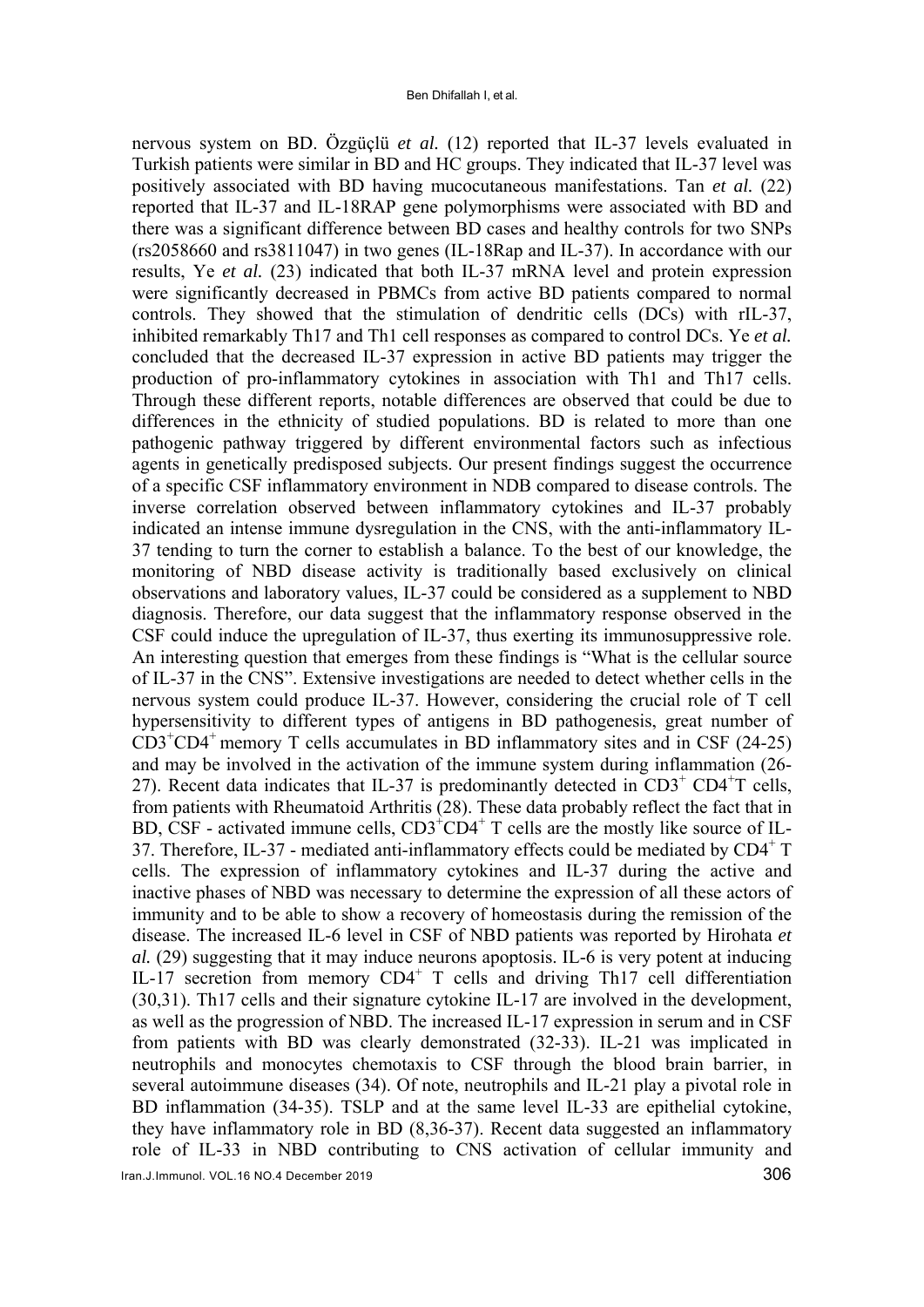nervous system on BD. Özgüçlü *et al.* (12) reported that IL-37 levels evaluated in Turkish patients were similar in BD and HC groups. They indicated that IL-37 level was positively associated with BD having mucocutaneous manifestations. Tan *et al.* (22) reported that IL-37 and IL-18RAP gene polymorphisms were associated with BD and there was a significant difference between BD cases and healthy controls for two SNPs (rs2058660 and rs3811047) in two genes (IL-18Rap and IL-37). In accordance with our results, Ye *et al.* (23) indicated that both IL-37 mRNA level and protein expression were significantly decreased in PBMCs from active BD patients compared to normal controls. They showed that the stimulation of dendritic cells (DCs) with rIL-37, inhibited remarkably Th17 and Th1 cell responses as compared to control DCs. Ye *et al.* concluded that the decreased IL-37 expression in active BD patients may trigger the production of pro-inflammatory cytokines in association with Th1 and Th17 cells. Through these different reports, notable differences are observed that could be due to differences in the ethnicity of studied populations. BD is related to more than one pathogenic pathway triggered by different environmental factors such as infectious agents in genetically predisposed subjects. Our present findings suggest the occurrence of a specific CSF inflammatory environment in NDB compared to disease controls. The inverse correlation observed between inflammatory cytokines and IL-37 probably indicated an intense immune dysregulation in the CNS, with the anti-inflammatory IL-37 tending to turn the corner to establish a balance. To the best of our knowledge, the monitoring of NBD disease activity is traditionally based exclusively on clinical observations and laboratory values, IL-37 could be considered as a supplement to NBD diagnosis. Therefore, our data suggest that the inflammatory response observed in the CSF could induce the upregulation of IL-37, thus exerting its immunosuppressive role. An interesting question that emerges from these findings is "What is the cellular source of IL-37 in the CNS". Extensive investigations are needed to detect whether cells in the nervous system could produce IL-37. However, considering the crucial role of T cell hypersensitivity to different types of antigens in BD pathogenesis, great number of CD3<sup>+</sup> CD4+ memory T cells accumulates in BD inflammatory sites and in CSF (24-25) and may be involved in the activation of the immune system during inflammation (26- 27). Recent data indicates that IL-37 is predominantly detected in  $CD3^+$  CD4<sup>+</sup>T cells, from patients with Rheumatoid Arthritis (28). These data probably reflect the fact that in BD, CSF - activated immune cells,  $CD3^{\dagger}CD4^{\dagger}$  T cells are the mostly like source of IL-37. Therefore, IL-37 - mediated anti-inflammatory effects could be mediated by  $CD4^+$  T cells. The expression of inflammatory cytokines and IL-37 during the active and inactive phases of NBD was necessary to determine the expression of all these actors of immunity and to be able to show a recovery of homeostasis during the remission of the disease. The increased IL-6 level in CSF of NBD patients was reported by Hirohata *et al.* (29) suggesting that it may induce neurons apoptosis. IL-6 is very potent at inducing IL-17 secretion from memory CD4<sup>+</sup> T cells and driving Th17 cell differentiation (30,31). Th17 cells and their signature cytokine IL-17 are involved in the development, as well as the progression of NBD. The increased IL-17 expression in serum and in CSF from patients with BD was clearly demonstrated (32-33). IL-21 was implicated in neutrophils and monocytes chemotaxis to CSF through the blood brain barrier, in several autoimmune diseases (34). Of note, neutrophils and IL-21 play a pivotal role in BD inflammation (34-35). TSLP and at the same level IL-33 are epithelial cytokine, they have inflammatory role in BD (8,36-37). Recent data suggested an inflammatory role of IL-33 in NBD contributing to CNS activation of cellular immunity and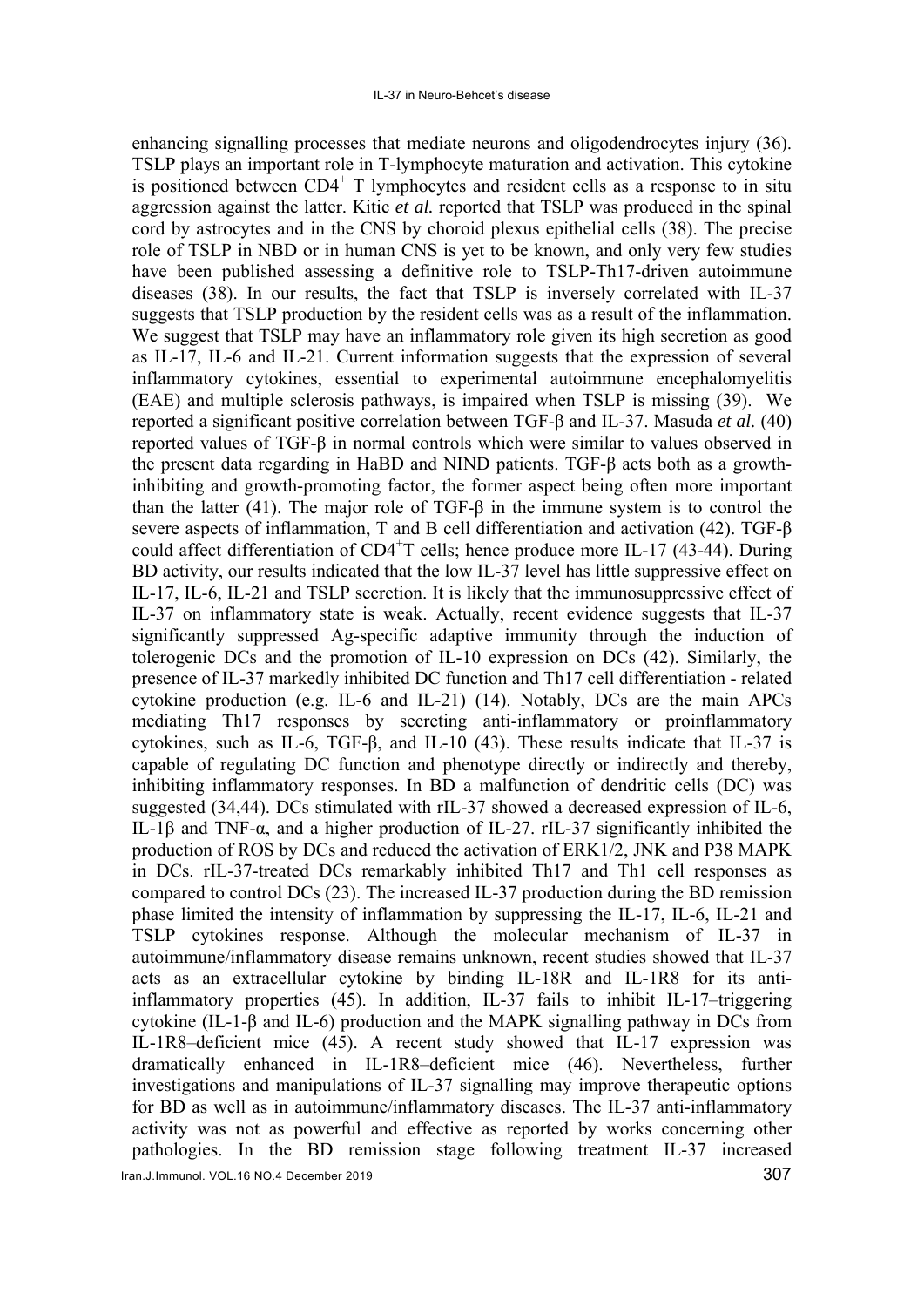enhancing signalling processes that mediate neurons and oligodendrocytes injury (36). TSLP plays an important role in T-lymphocyte maturation and activation. This cytokine is positioned between CD4<sup>+</sup> T lymphocytes and resident cells as a response to in situ aggression against the latter. Kitic *et al.* reported that TSLP was produced in the spinal cord by astrocytes and in the CNS by choroid plexus epithelial cells (38). The precise role of TSLP in NBD or in human CNS is yet to be known, and only very few studies have been published assessing a definitive role to TSLP-Th17-driven autoimmune diseases (38). In our results, the fact that TSLP is inversely correlated with IL-37 suggests that TSLP production by the resident cells was as a result of the inflammation. We suggest that TSLP may have an inflammatory role given its high secretion as good as IL-17, IL-6 and IL-21. Current information suggests that the expression of several inflammatory cytokines, essential to experimental autoimmune encephalomyelitis (EAE) and multiple sclerosis pathways, is impaired when TSLP is missing (39). We reported a significant positive correlation between TGF-β and IL-37. Masuda *et al.* (40) reported values of TGF-β in normal controls which were similar to values observed in the present data regarding in HaBD and NIND patients. TGF-β acts both as a growthinhibiting and growth-promoting factor, the former aspect being often more important than the latter (41). The major role of TGF-β in the immune system is to control the severe aspects of inflammation, T and B cell differentiation and activation (42). TGF-β could affect differentiation of CD4<sup>+</sup>T cells; hence produce more IL-17 (43-44). During BD activity, our results indicated that the low IL-37 level has little suppressive effect on IL-17, IL-6, IL-21 and TSLP secretion. It is likely that the immunosuppressive effect of IL-37 on inflammatory state is weak. Actually, recent evidence suggests that IL-37 significantly suppressed Ag-specific adaptive immunity through the induction of tolerogenic DCs and the promotion of IL-10 expression on DCs (42). Similarly, the presence of IL-37 markedly inhibited DC function and Th17 cell differentiation - related cytokine production (e.g. IL-6 and IL-21) (14). Notably, DCs are the main APCs mediating Th17 responses by secreting anti-inflammatory or proinflammatory cytokines, such as IL-6, TGF-β, and IL-10 (43). These results indicate that IL-37 is capable of regulating DC function and phenotype directly or indirectly and thereby, inhibiting inflammatory responses. In BD a malfunction of dendritic cells (DC) was suggested (34,44). DCs stimulated with rIL-37 showed a decreased expression of IL-6, IL-1β and TNF-α, and a higher production of IL-27. rIL-37 significantly inhibited the production of ROS by DCs and reduced the activation of ERK1/2, JNK and P38 MAPK in DCs. rIL-37-treated DCs remarkably inhibited Th17 and Th1 cell responses as compared to control DCs (23). The increased IL-37 production during the BD remission phase limited the intensity of inflammation by suppressing the IL-17, IL-6, IL-21 and TSLP cytokines response. Although the molecular mechanism of IL-37 in autoimmune/inflammatory disease remains unknown, recent studies showed that IL-37 acts as an extracellular cytokine by binding IL-18R and IL-1R8 for its antiinflammatory properties (45). In addition, IL-37 fails to inhibit IL-17–triggering cytokine (IL-1-β and IL-6) production and the MAPK signalling pathway in DCs from IL-1R8–deficient mice (45). A recent study showed that IL-17 expression was dramatically enhanced in IL-1R8–deficient mice (46). Nevertheless, further investigations and manipulations of IL-37 signalling may improve therapeutic options for BD as well as in autoimmune/inflammatory diseases. The IL-37 anti-inflammatory activity was not as powerful and effective as reported by works concerning other pathologies. In the BD remission stage following treatment IL-37 increased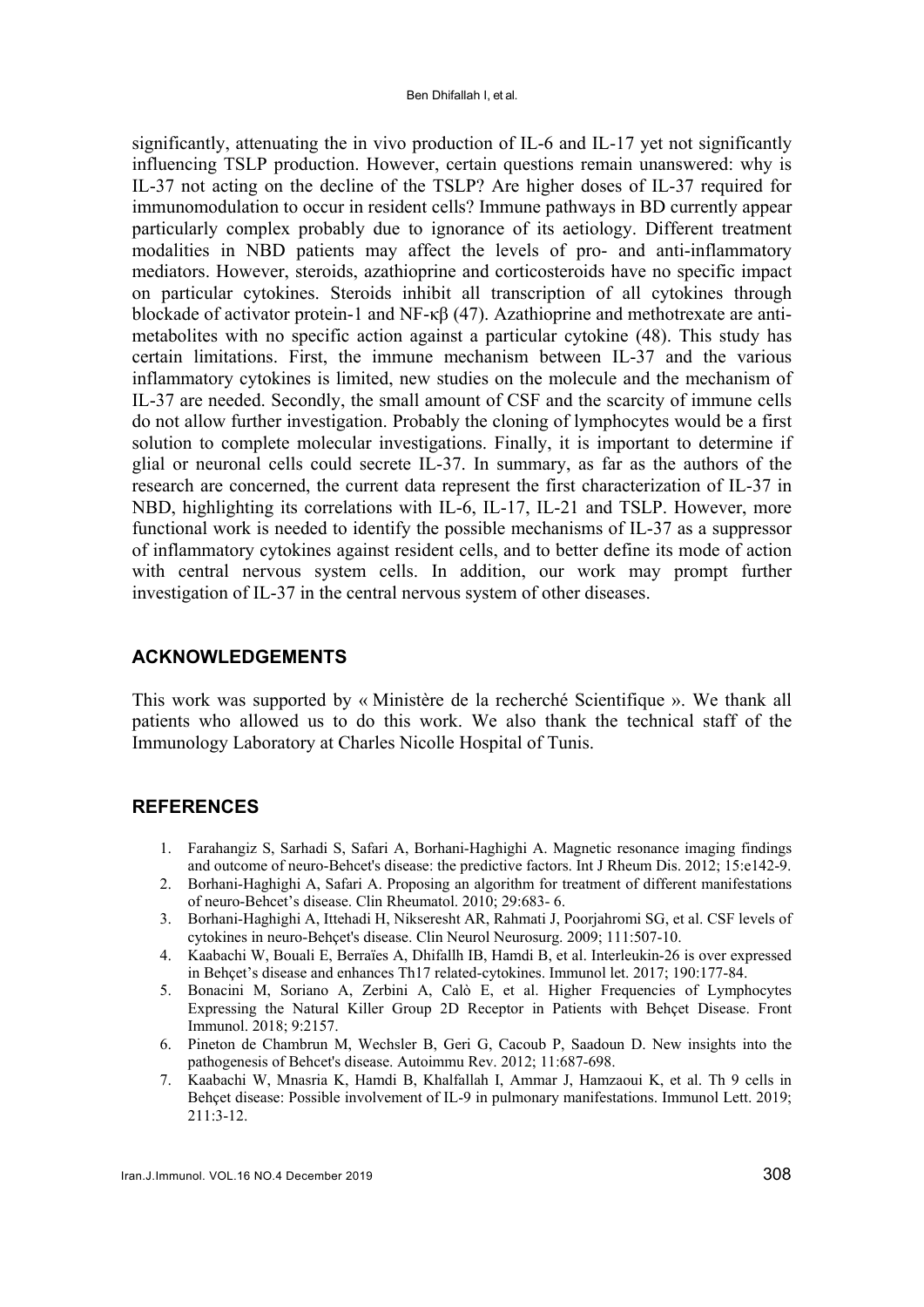significantly, attenuating the in vivo production of IL-6 and IL-17 yet not significantly influencing TSLP production. However, certain questions remain unanswered: why is IL-37 not acting on the decline of the TSLP? Are higher doses of IL-37 required for immunomodulation to occur in resident cells? Immune pathways in BD currently appear particularly complex probably due to ignorance of its aetiology. Different treatment modalities in NBD patients may affect the levels of pro- and anti-inflammatory mediators. However, steroids, azathioprine and corticosteroids have no specific impact on particular cytokines. Steroids inhibit all transcription of all cytokines through blockade of activator protein-1 and NF-κβ (47). Azathioprine and methotrexate are antimetabolites with no specific action against a particular cytokine (48). This study has certain limitations. First, the immune mechanism between IL-37 and the various inflammatory cytokines is limited, new studies on the molecule and the mechanism of IL-37 are needed. Secondly, the small amount of CSF and the scarcity of immune cells do not allow further investigation. Probably the cloning of lymphocytes would be a first solution to complete molecular investigations. Finally, it is important to determine if glial or neuronal cells could secrete IL-37. In summary, as far as the authors of the research are concerned, the current data represent the first characterization of IL-37 in NBD, highlighting its correlations with IL-6, IL-17, IL-21 and TSLP. However, more functional work is needed to identify the possible mechanisms of IL-37 as a suppressor of inflammatory cytokines against resident cells, and to better define its mode of action with central nervous system cells. In addition, our work may prompt further investigation of IL-37 in the central nervous system of other diseases.

## **ACKNOWLEDGEMENTS**

This work was supported by « Ministère de la recherché Scientifique ». We thank all patients who allowed us to do this work. We also thank the technical staff of the Immunology Laboratory at Charles Nicolle Hospital of Tunis.

#### **REFERENCES**

- 1. Farahangiz S, Sarhadi S, Safari A, Borhani-Haghighi A. Magnetic resonance imaging findings and outcome of neuro-Behcet's disease: the predictive factors. Int J Rheum Dis. 2012; 15:e142-9.
- 2. Borhani-Haghighi A, Safari A. Proposing an algorithm for treatment of different manifestations of neuro-Behcet's disease. Clin Rheumatol. 2010; 29:683- 6.
- 3. Borhani-Haghighi A, Ittehadi H, Nikseresht AR, Rahmati J, Poorjahromi SG, et al. CSF levels of cytokines in neuro-Behçet's disease. Clin Neurol Neurosurg. 2009; 111:507-10.
- 4. Kaabachi W, Bouali E, Berraïes A, Dhifallh IB, Hamdi B, et al. Interleukin-26 is over expressed in Behçet's disease and enhances Th17 related-cytokines. Immunol let. 2017; 190:177-84.
- 5. Bonacini M, Soriano A, Zerbini A, Calò E, et al. Higher Frequencies of Lymphocytes Expressing the Natural Killer Group 2D Receptor in Patients with Behçet Disease. Front Immunol. 2018; 9:2157.
- 6. Pineton de Chambrun M, Wechsler B, Geri G, Cacoub P, Saadoun D. New insights into the pathogenesis of Behcet's disease. Autoimmu Rev. 2012; 11:687-698.
- 7. Kaabachi W, Mnasria K, Hamdi B, Khalfallah I, Ammar J, Hamzaoui K, et al. Th 9 cells in Behçet disease: Possible involvement of IL-9 in pulmonary manifestations. Immunol Lett. 2019; 211:3-12.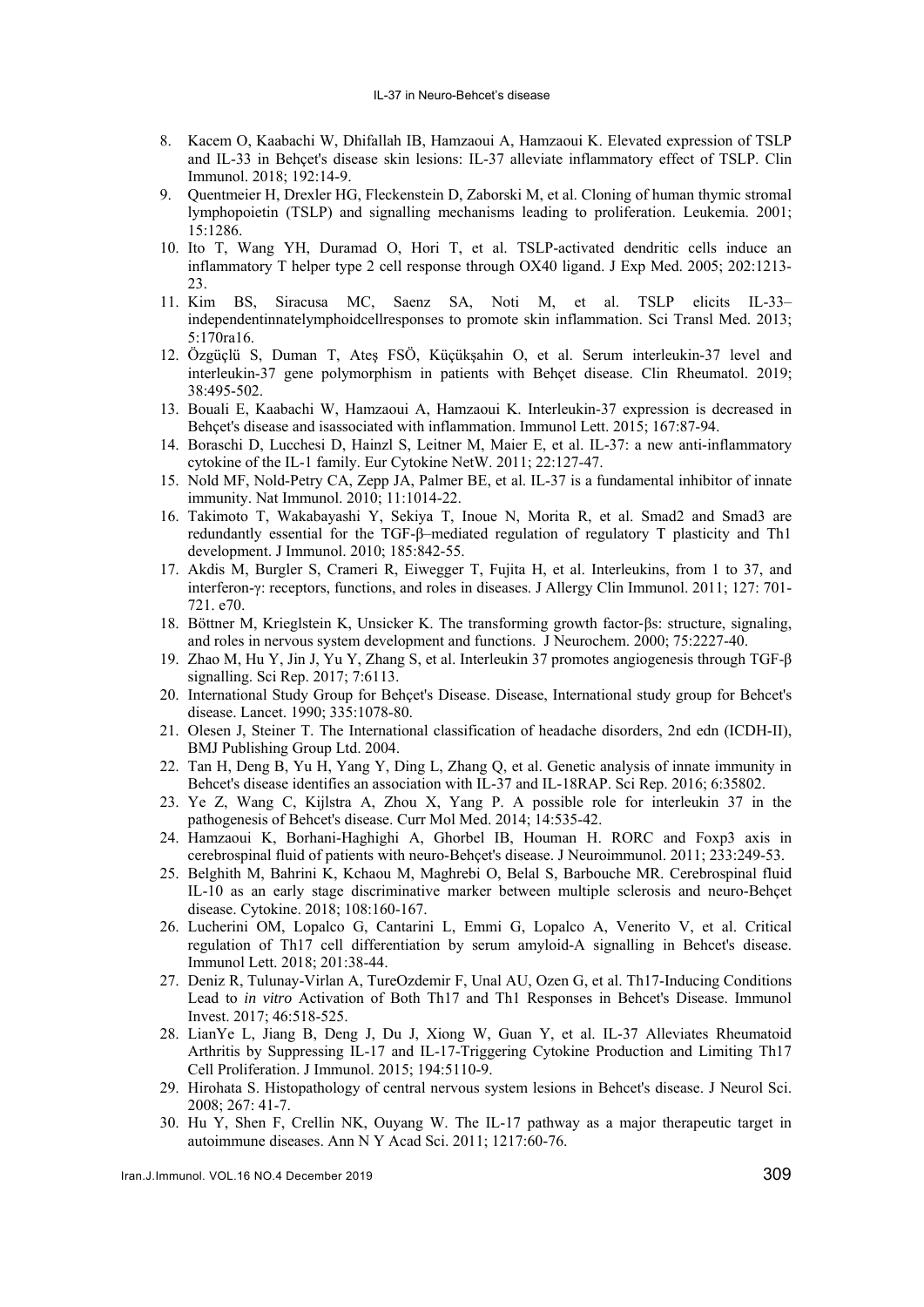#### IL-37 in Neuro-Behcet's disease

- 8. Kacem O, Kaabachi W, Dhifallah IB, Hamzaoui A, Hamzaoui K. Elevated expression of TSLP and IL-33 in Behçet's disease skin lesions: IL-37 alleviate inflammatory effect of TSLP. Clin Immunol. 2018; 192:14-9.
- 9. Quentmeier H, Drexler HG, Fleckenstein D, Zaborski M, et al. Cloning of human thymic stromal lymphopoietin (TSLP) and signalling mechanisms leading to proliferation. Leukemia. 2001; 15:1286.
- 10. Ito T, Wang YH, Duramad O, Hori T, et al. TSLP-activated dendritic cells induce an inflammatory T helper type 2 cell response through OX40 ligand. J Exp Med. 2005; 202:1213- 23.
- 11. Kim BS, Siracusa MC, Saenz SA, Noti M, et al. TSLP elicits IL-33– independentinnatelymphoidcellresponses to promote skin inflammation. Sci Transl Med. 2013; 5:170ra16.
- 12. Özgüçlü S, Duman T, Ateş FSÖ, Küçükşahin O, et al. Serum interleukin-37 level and interleukin-37 gene polymorphism in patients with Behçet disease. Clin Rheumatol. 2019; 38:495-502.
- 13. Bouali E, Kaabachi W, Hamzaoui A, Hamzaoui K. Interleukin-37 expression is decreased in Behcet's disease and isassociated with inflammation. Immunol Lett. 2015; 167:87-94.
- 14. Boraschi D, Lucchesi D, Hainzl S, Leitner M, Maier E, et al. IL-37: a new anti-inflammatory cytokine of the IL-1 family. Eur Cytokine NetW. 2011; 22:127-47.
- 15. Nold MF, Nold-Petry CA, Zepp JA, Palmer BE, et al. IL-37 is a fundamental inhibitor of innate immunity. Nat Immunol. 2010; 11:1014-22.
- 16. Takimoto T, Wakabayashi Y, Sekiya T, Inoue N, Morita R, et al. Smad2 and Smad3 are redundantly essential for the TGF-β–mediated regulation of regulatory T plasticity and Th1 development. J Immunol. 2010; 185:842-55.
- 17. Akdis M, Burgler S, Crameri R, Eiwegger T, Fujita H, et al. Interleukins, from 1 to 37, and interferon-γ: receptors, functions, and roles in diseases. J Allergy Clin Immunol. 2011; 127: 701- 721. e70.
- 18. Böttner M, Krieglstein K, Unsicker K. The transforming growth factor‐βs: structure, signaling, and roles in nervous system development and functions. J Neurochem. 2000; 75:2227-40.
- 19. Zhao M, Hu Y, Jin J, Yu Y, Zhang S, et al. Interleukin 37 promotes angiogenesis through TGF-β signalling. Sci Rep. 2017; 7:6113.
- 20. International Study Group for Behçet's Disease. Disease, International study group for Behcet's disease. Lancet. 1990; 335:1078-80.
- 21. Olesen J, Steiner T. The International classification of headache disorders, 2nd edn (ICDH-II), BMJ Publishing Group Ltd. 2004.
- 22. Tan H, Deng B, Yu H, Yang Y, Ding L, Zhang Q, et al. Genetic analysis of innate immunity in Behcet's disease identifies an association with IL-37 and IL-18RAP. Sci Rep. 2016; 6:35802.
- 23. Ye Z, Wang C, Kijlstra A, Zhou X, Yang P. A possible role for interleukin 37 in the pathogenesis of Behcet's disease. Curr Mol Med. 2014; 14:535-42.
- 24. Hamzaoui K, Borhani-Haghighi A, Ghorbel IB, Houman H. RORC and Foxp3 axis in cerebrospinal fluid of patients with neuro-Behçet's disease. J Neuroimmunol. 2011; 233:249-53.
- 25. Belghith M, Bahrini K, Kchaou M, Maghrebi O, Belal S, Barbouche MR. Cerebrospinal fluid IL-10 as an early stage discriminative marker between multiple sclerosis and neuro-Behçet disease. Cytokine. 2018; 108:160-167.
- 26. Lucherini OM, Lopalco G, Cantarini L, Emmi G, Lopalco A, Venerito V, et al. Critical regulation of Th17 cell differentiation by serum amyloid-A signalling in Behcet's disease. Immunol Lett. 2018; 201:38-44.
- 27. Deniz R, Tulunay-Virlan A, TureOzdemir F, Unal AU, Ozen G, et al. Th17-Inducing Conditions Lead to *in vitro* Activation of Both Th17 and Th1 Responses in Behcet's Disease. Immunol Invest. 2017; 46:518-525.
- 28. LianYe L, Jiang B, Deng J, Du J, Xiong W, Guan Y, et al. IL-37 Alleviates Rheumatoid Arthritis by Suppressing IL-17 and IL-17-Triggering Cytokine Production and Limiting Th17 Cell Proliferation. J Immunol. 2015; 194:5110-9.
- 29. Hirohata S. Histopathology of central nervous system lesions in Behcet's disease. J Neurol Sci. 2008; 267: 41-7.
- 30. Hu Y, Shen F, Crellin NK, Ouyang W. The IL-17 pathway as a major therapeutic target in autoimmune diseases. Ann N Y Acad Sci. 2011; 1217:60-76.